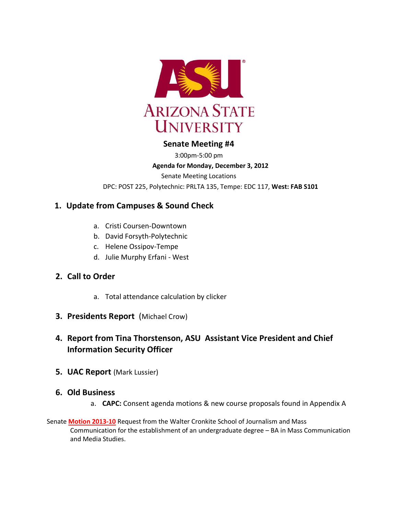

# **Senate Meeting #4**

3:00pm-5:00 pm

### **Agenda for Monday, December 3, 2012**

Senate Meeting Locations

DPC: POST 225, Polytechnic: PRLTA 135, Tempe: EDC 117, **West: FAB S101**

# **1. Update from Campuses & Sound Check**

- a. Cristi Coursen-Downtown
- b. David Forsyth-Polytechnic
- c. Helene Ossipov-Tempe
- d. Julie Murphy Erfani West

# **2. Call to Order**

- a. Total attendance calculation by clicker
- **3. Presidents Report** (Michael Crow)

# **4. Report from Tina Thorstenson, ASU Assistant Vice President and Chief Information Security Officer**

**5. UAC Report** (Mark Lussier)

# **6. Old Business**

a. **CAPC:** Consent agenda motions & new course proposals found in Appendix A

Senate **[Motion 2013-10](http://usenate.asu.edu/node/4439)** Request from the Walter Cronkite School of Journalism and Mass Communication for the establishment of an undergraduate degree – BA in Mass Communication and Media Studies.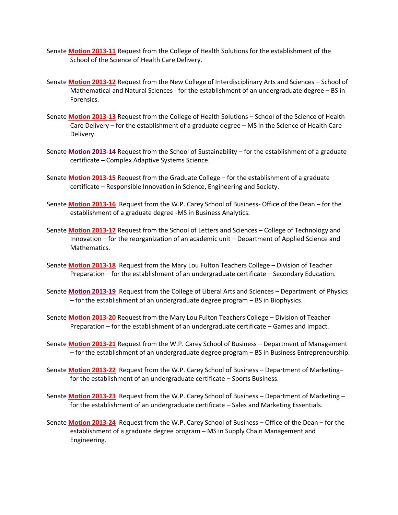- Senate **[Motion 2013-11](http://usenate.asu.edu/node/4440)** Request from the College of Health Solutions for the establishment of the School of the Science of Health Care Delivery.
- Senate **[Motion 2013-12](http://usenate.asu.edu/node/4441)** Request from the New College of Interdisciplinary Arts and Sciences School of Mathematical and Natural Sciences - for the establishment of an undergraduate degree – BS in Forensics.
- Senate **[Motion 2013-13](http://usenate.asu.edu/node/4442)** Request from the College of Health Solutions School of the Science of Health Care Delivery – for the establishment of a graduate degree – MS in the Science of Health Care Delivery.
- Senate **[Motion 2013-14](http://usenate.asu.edu/node/4443)** Request from the School of Sustainability for the establishment of a graduate certificate – Complex Adaptive Systems Science.
- Senate **[Motion 2013-15](http://usenate.asu.edu/node/4444)** Request from the Graduate College for the establishment of a graduate certificate – Responsible Innovation in Science, Engineering and Society.
- Senate **[Motion 2013-16](http://usenate.asu.edu/node/4445)** Request from the W.P. Carey School of Business- Office of the Dean for the establishment of a graduate degree -MS in Business Analytics.
- Senate **[Motion 2013-17](http://usenate.asu.edu/node/4446)** Request from the School of Letters and Sciences College of Technology and Innovation – for the reorganization of an academic unit – Department of Applied Science and Mathematics.
- Senate **[Motion 2013-18](http://usenate.asu.edu/node/4447)** Request from the Mary Lou Fulton Teachers College Division of Teacher Preparation – for the establishment of an undergraduate certificate – Secondary Education.
- Senate **[Motion 2013-19](http://usenate.asu.edu/node/4448)** Request from the College of Liberal Arts and Sciences Department of Physics – for the establishment of an undergraduate degree program – BS in Biophysics.
- Senate **[Motion 2013-20](http://usenate.asu.edu/node/4449)** Request from the Mary Lou Fulton Teachers College Division of Teacher Preparation – for the establishment of an undergraduate certificate – Games and Impact.
- Senate **[Motion 2013-21](http://usenate.asu.edu/node/4450)** Request from the W.P. Carey School of Business Department of Management – for the establishment of an undergraduate degree program – BS in Business Entrepreneurship.
- Senate **[Motion 2013-22](http://usenate.asu.edu/node/4453)** Request from the W.P. Carey School of Business Department of Marketing– for the establishment of an undergraduate certificate – Sports Business.
- Senate **[Motion 2013-23](http://usenate.asu.edu/node/4454)** Request from the W.P. Carey School of Business Department of Marketing for the establishment of an undergraduate certificate – Sales and Marketing Essentials.
- Senate **[Motion 2013-24](http://usenate.asu.edu/node/4455)** Request from the W.P. Carey School of Business Office of the Dean for the establishment of a graduate degree program – MS in Supply Chain Management and Engineering.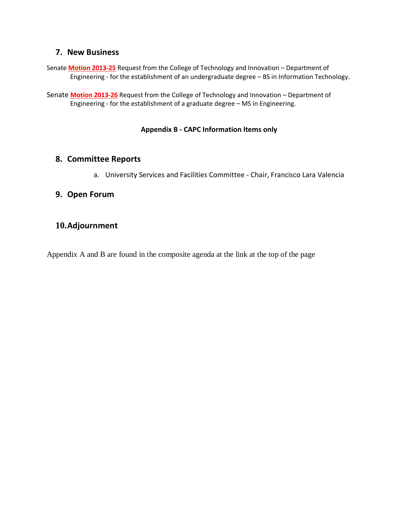# **7. New Business**

Senate **[Motion 2013-25](http://usenate.asu.edu/node/4460)** Request from the College of Technology and Innovation – Department of Engineering - for the establishment of an undergraduate degree – BS in Information Technology.

Senate **[Motion 2013-26](http://usenate.asu.edu/node/4461)** Request from the College of Technology and Innovation – Department of Engineering - for the establishment of a graduate degree – MS in Engineering.

### **Appendix B - CAPC Information Items only**

# **8. Committee Reports**

a. University Services and Facilities Committee - Chair, Francisco Lara Valencia

# **9. Open Forum**

# **10.Adjournment**

Appendix A and B are found in the composite agenda at the link at the top of the page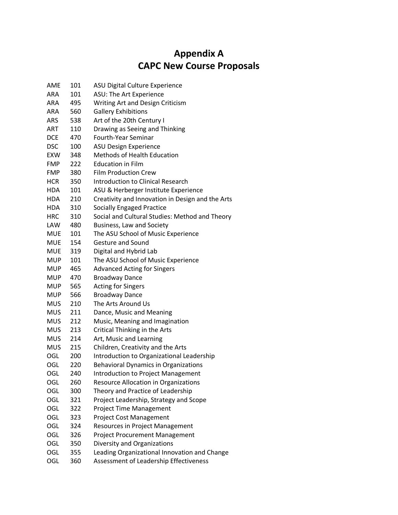# **Appendix A CAPC New Course Proposals**

| AME        | 101 | ASU Digital Culture Experience                   |
|------------|-----|--------------------------------------------------|
| <b>ARA</b> | 101 | ASU: The Art Experience                          |
| ARA        | 495 | Writing Art and Design Criticism                 |
| ARA        | 560 | <b>Gallery Exhibitions</b>                       |
| <b>ARS</b> | 538 | Art of the 20th Century I                        |
| ART        | 110 | Drawing as Seeing and Thinking                   |
| DCE        | 470 | <b>Fourth-Year Seminar</b>                       |
| <b>DSC</b> | 100 | <b>ASU Design Experience</b>                     |
| EXW        | 348 | <b>Methods of Health Education</b>               |
| <b>FMP</b> | 222 | <b>Education in Film</b>                         |
| <b>FMP</b> | 380 | <b>Film Production Crew</b>                      |
| <b>HCR</b> | 350 | <b>Introduction to Clinical Research</b>         |
| HDA        | 101 | ASU & Herberger Institute Experience             |
| <b>HDA</b> | 210 | Creativity and Innovation in Design and the Arts |
| HDA        | 310 | <b>Socially Engaged Practice</b>                 |
| HRC        | 310 | Social and Cultural Studies: Method and Theory   |
| <b>LAW</b> | 480 | Business, Law and Society                        |
| <b>MUE</b> | 101 | The ASU School of Music Experience               |
| <b>MUE</b> | 154 | <b>Gesture and Sound</b>                         |
| MUE        | 319 | Digital and Hybrid Lab                           |
| <b>MUP</b> | 101 | The ASU School of Music Experience               |
| <b>MUP</b> | 465 | <b>Advanced Acting for Singers</b>               |
| <b>MUP</b> | 470 | <b>Broadway Dance</b>                            |
| <b>MUP</b> | 565 | <b>Acting for Singers</b>                        |
| <b>MUP</b> | 566 | <b>Broadway Dance</b>                            |
| <b>MUS</b> | 210 | The Arts Around Us                               |
| <b>MUS</b> | 211 | Dance, Music and Meaning                         |
| MUS        | 212 | Music, Meaning and Imagination                   |
| MUS        | 213 | Critical Thinking in the Arts                    |
| <b>MUS</b> | 214 | Art, Music and Learning                          |
| <b>MUS</b> | 215 | Children, Creativity and the Arts                |
| OGL        | 200 | Introduction to Organizational Leadership        |
| OGL        | 220 | <b>Behavioral Dynamics in Organizations</b>      |
| OGL        | 240 | Introduction to Project Management               |
| OGL        | 260 | Resource Allocation in Organizations             |
| <b>OGL</b> | 300 | Theory and Practice of Leadership                |
| <b>OGL</b> | 321 | Project Leadership, Strategy and Scope           |
| <b>OGL</b> | 322 | Project Time Management                          |
| <b>OGL</b> | 323 | <b>Project Cost Management</b>                   |
| <b>OGL</b> | 324 | Resources in Project Management                  |
| OGL        | 326 | <b>Project Procurement Management</b>            |
| <b>OGL</b> | 350 | Diversity and Organizations                      |
| <b>OGL</b> | 355 | Leading Organizational Innovation and Change     |
| <b>OGL</b> | 360 | Assessment of Leadership Effectiveness           |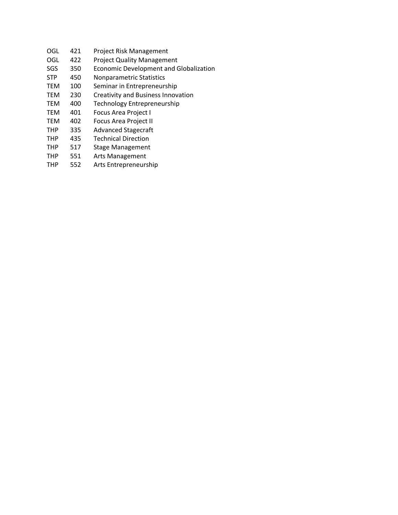OGL 421 Project Risk Management OGL 422 Project Quality Management SGS 350 Economic Development and Globalization STP 450 Nonparametric Statistics TEM 100 Seminar in Entrepreneurship TEM 230 Creativity and Business Innovation TEM 400 Technology Entrepreneurship TEM 401 Focus Area Project I TEM 402 Focus Area Project II THP 335 Advanced Stagecraft THP 435 Technical Direction THP 517 Stage Management THP 551 Arts Management THP 552 Arts Entrepreneurship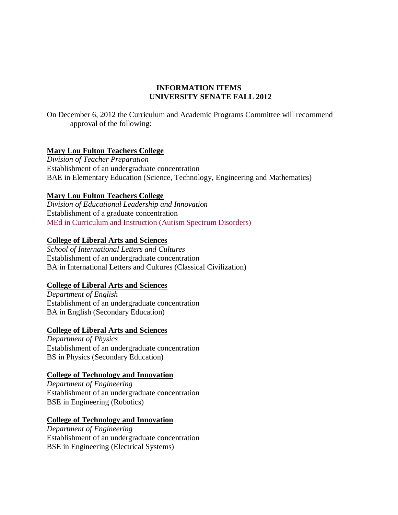# **INFORMATION ITEMS UNIVERSITY SENATE FALL 2012**

On December 6, 2012 the Curriculum and Academic Programs Committee will recommend approval of the following:

# **Mary Lou Fulton Teachers College**

*Division of Teacher Preparation* Establishment of an undergraduate concentration BAE in Elementary Education (Science, Technology, Engineering and Mathematics)

# **Mary Lou Fulton Teachers College**

*Division of Educational Leadership and Innovation* Establishment of a graduate concentration [MEd in Curriculum and Instruction \(Autism Spectrum Disorders\)](https://provost.asu.edu/sites/default/files/shared/capc/Autism%20Spectrum%20Disorders%20Conc%20%28UGC%20Final%20Copy%29_0.pdf) 

# **College of Liberal Arts and Sciences**

*School of International Letters and Cultures* Establishment of an undergraduate concentration BA in International Letters and Cultures (Classical Civilization)

### **College of Liberal Arts and Sciences**

*Department of English* Establishment of an undergraduate concentration BA in English (Secondary Education)

# **College of Liberal Arts and Sciences**

*Department of Physics* Establishment of an undergraduate concentration BS in Physics (Secondary Education)

### **College of Technology and Innovation**

*Department of Engineering* Establishment of an undergraduate concentration BSE in Engineering (Robotics)

# **College of Technology and Innovation**

*Department of Engineering* Establishment of an undergraduate concentration BSE in Engineering (Electrical Systems)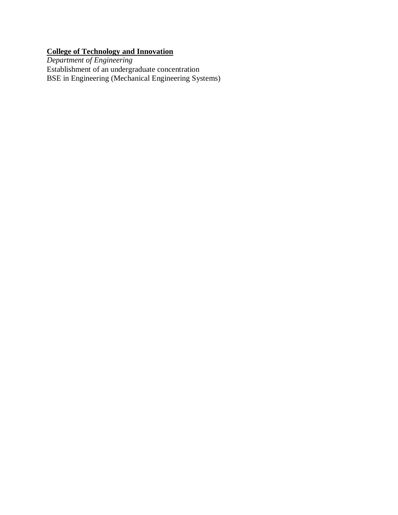# **College of Technology and Innovation**

*Department of Engineering* Establishment of an undergraduate concentration BSE in Engineering (Mechanical Engineering Systems)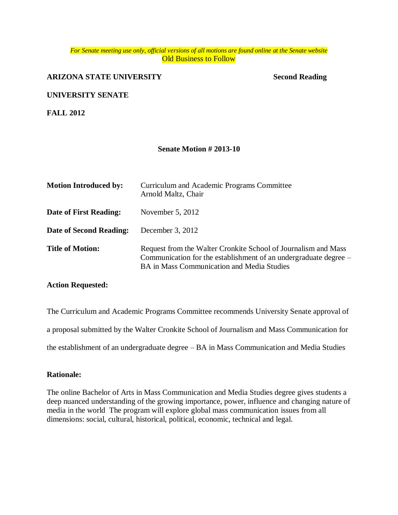#### *For Senate meeting use only, official versions of all motions are found online at the Senate website* **Old Business to Follow**

# **ARIZONA STATE UNIVERSITY** Second Reading

### **UNIVERSITY SENATE**

**FALL 2012**

### **Senate Motion # 2013-10**

| <b>Motion Introduced by:</b> | Curriculum and Academic Programs Committee<br>Arnold Maltz, Chair                                                                                                                       |
|------------------------------|-----------------------------------------------------------------------------------------------------------------------------------------------------------------------------------------|
| Date of First Reading:       | November 5, 2012                                                                                                                                                                        |
| Date of Second Reading:      | December 3, 2012                                                                                                                                                                        |
| <b>Title of Motion:</b>      | Request from the Walter Cronkite School of Journalism and Mass<br>Communication for the establishment of an undergraduate degree –<br><b>BA</b> in Mass Communication and Media Studies |

### **Action Requested:**

The Curriculum and Academic Programs Committee recommends University Senate approval of a proposal submitted by the Walter Cronkite School of Journalism and Mass Communication for the establishment of an undergraduate degree – BA in Mass Communication and Media Studies

### **Rationale:**

The online Bachelor of Arts in Mass Communication and Media Studies degree gives students a deep nuanced understanding of the growing importance, power, influence and changing nature of media in the world The program will explore global mass communication issues from all dimensions: social, cultural, historical, political, economic, technical and legal.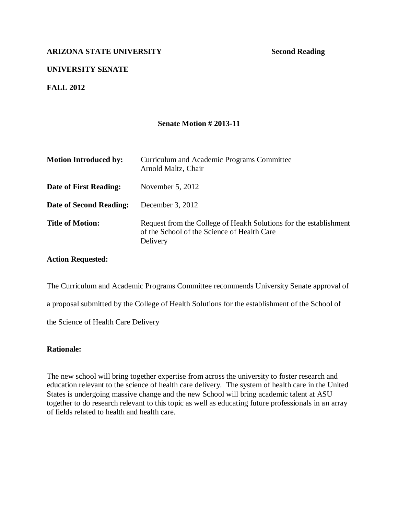# **UNIVERSITY SENATE**

**FALL 2012**

### **Senate Motion # 2013-11**

| <b>Motion Introduced by:</b> | Curriculum and Academic Programs Committee<br>Arnold Maltz, Chair                                                             |
|------------------------------|-------------------------------------------------------------------------------------------------------------------------------|
| Date of First Reading:       | November $5, 2012$                                                                                                            |
| Date of Second Reading:      | December 3, $2012$                                                                                                            |
| <b>Title of Motion:</b>      | Request from the College of Health Solutions for the establishment<br>of the School of the Science of Health Care<br>Delivery |

#### **Action Requested:**

The Curriculum and Academic Programs Committee recommends University Senate approval of

a proposal submitted by the College of Health Solutions for the establishment of the School of

the Science of Health Care Delivery

### **Rationale:**

The new school will bring together expertise from across the university to foster research and education relevant to the science of health care delivery. The system of health care in the United States is undergoing massive change and the new School will bring academic talent at ASU together to do research relevant to this topic as well as educating future professionals in an array of fields related to health and health care.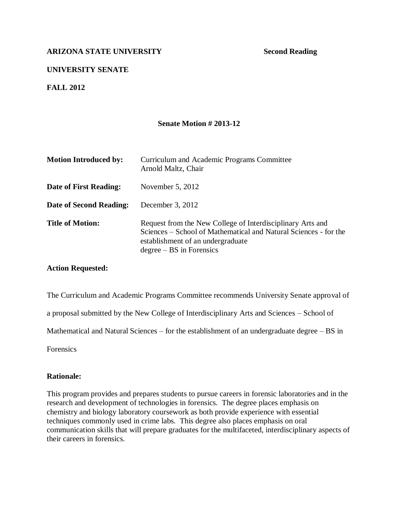# **UNIVERSITY SENATE**

**FALL 2012**

#### **Senate Motion # 2013-12**

| <b>Motion Introduced by:</b> | Curriculum and Academic Programs Committee<br>Arnold Maltz, Chair                                                                                                                                 |
|------------------------------|---------------------------------------------------------------------------------------------------------------------------------------------------------------------------------------------------|
| Date of First Reading:       | November $5, 2012$                                                                                                                                                                                |
| Date of Second Reading:      | December 3, 2012                                                                                                                                                                                  |
| <b>Title of Motion:</b>      | Request from the New College of Interdisciplinary Arts and<br>Sciences – School of Mathematical and Natural Sciences - for the<br>establishment of an undergraduate<br>$degree - BS$ in Forensics |

#### **Action Requested:**

The Curriculum and Academic Programs Committee recommends University Senate approval of

a proposal submitted by the New College of Interdisciplinary Arts and Sciences – School of

Mathematical and Natural Sciences – for the establishment of an undergraduate degree – BS in

Forensics

#### **Rationale:**

This program provides and prepares students to pursue careers in forensic laboratories and in the research and development of technologies in forensics. The degree places emphasis on chemistry and biology laboratory coursework as both provide experience with essential techniques commonly used in crime labs. This degree also places emphasis on oral communication skills that will prepare graduates for the multifaceted, interdisciplinary aspects of their careers in forensics.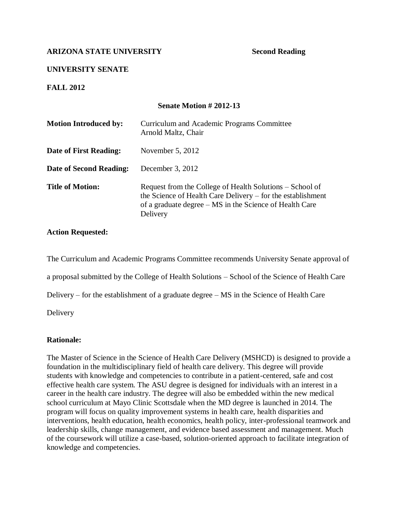# **UNIVERSITY SENATE**

**FALL 2012**

# **Senate Motion # 2012-13**

| <b>Motion Introduced by:</b> | Curriculum and Academic Programs Committee<br>Arnold Maltz, Chair                                                                                                                              |
|------------------------------|------------------------------------------------------------------------------------------------------------------------------------------------------------------------------------------------|
| Date of First Reading:       | November $5, 2012$                                                                                                                                                                             |
| Date of Second Reading:      | December $3, 2012$                                                                                                                                                                             |
| <b>Title of Motion:</b>      | Request from the College of Health Solutions – School of<br>the Science of Health Care Delivery – for the establishment<br>of a graduate degree – MS in the Science of Health Care<br>Delivery |

# **Action Requested:**

The Curriculum and Academic Programs Committee recommends University Senate approval of

a proposal submitted by the College of Health Solutions – School of the Science of Health Care

Delivery – for the establishment of a graduate degree – MS in the Science of Health Care

Delivery

### **Rationale:**

The Master of Science in the Science of Health Care Delivery (MSHCD) is designed to provide a foundation in the multidisciplinary field of health care delivery. This degree will provide students with knowledge and competencies to contribute in a patient-centered, safe and cost effective health care system. The ASU degree is designed for individuals with an interest in a career in the health care industry. The degree will also be embedded within the new medical school curriculum at Mayo Clinic Scottsdale when the MD degree is launched in 2014. The program will focus on quality improvement systems in health care, health disparities and interventions, health education, health economics, health policy, inter-professional teamwork and leadership skills, change management, and evidence based assessment and management. Much of the coursework will utilize a case-based, solution-oriented approach to facilitate integration of knowledge and competencies.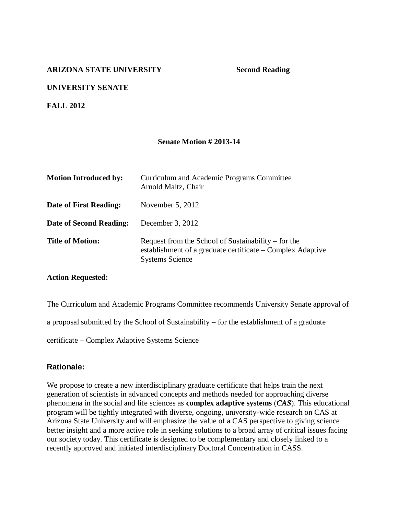# **UNIVERSITY SENATE**

# **FALL 2012**

### **Senate Motion # 2013-14**

| <b>Motion Introduced by:</b>  | Curriculum and Academic Programs Committee<br>Arnold Maltz, Chair                                                                             |
|-------------------------------|-----------------------------------------------------------------------------------------------------------------------------------------------|
| <b>Date of First Reading:</b> | November $5, 2012$                                                                                                                            |
| Date of Second Reading:       | December 3, 2012                                                                                                                              |
| <b>Title of Motion:</b>       | Request from the School of Sustainability $-$ for the<br>establishment of a graduate certificate – Complex Adaptive<br><b>Systems Science</b> |

### **Action Requested:**

The Curriculum and Academic Programs Committee recommends University Senate approval of

a proposal submitted by the School of Sustainability – for the establishment of a graduate

certificate – Complex Adaptive Systems Science

### **Rationale:**

We propose to create a new interdisciplinary graduate certificate that helps train the next generation of scientists in advanced concepts and methods needed for approaching diverse phenomena in the social and life sciences as **complex adaptive systems** (*CAS*). This educational program will be tightly integrated with diverse, ongoing, university-wide research on CAS at Arizona State University and will emphasize the value of a CAS perspective to giving science better insight and a more active role in seeking solutions to a broad array of critical issues facing our society today. This certificate is designed to be complementary and closely linked to a recently approved and initiated interdisciplinary Doctoral Concentration in CASS.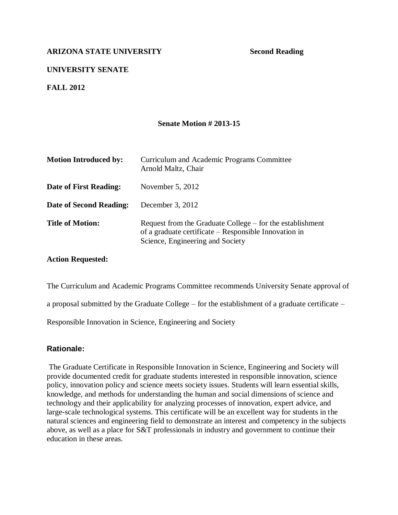# **UNIVERSITY SENATE**

**FALL 2012**

#### **Senate Motion # 2013-15**

| <b>Motion Introduced by:</b> | Curriculum and Academic Programs Committee<br>Arnold Maltz, Chair                                                                                      |
|------------------------------|--------------------------------------------------------------------------------------------------------------------------------------------------------|
| Date of First Reading:       | November $5, 2012$                                                                                                                                     |
| Date of Second Reading:      | December 3, $2012$                                                                                                                                     |
| <b>Title of Motion:</b>      | Request from the Graduate College – for the establishment<br>of a graduate certificate – Responsible Innovation in<br>Science, Engineering and Society |

#### **Action Requested:**

The Curriculum and Academic Programs Committee recommends University Senate approval of

a proposal submitted by the Graduate College – for the establishment of a graduate certificate –

Responsible Innovation in Science, Engineering and Society

### **Rationale:**

The Graduate Certificate in Responsible Innovation in Science, Engineering and Society will provide documented credit for graduate students interested in responsible innovation, science policy, innovation policy and science meets society issues. Students will learn essential skills, knowledge, and methods for understanding the human and social dimensions of science and technology and their applicability for analyzing processes of innovation, expert advice, and large-scale technological systems. This certificate will be an excellent way for students in the natural sciences and engineering field to demonstrate an interest and competency in the subjects above, as well as a place for S&T professionals in industry and government to continue their education in these areas.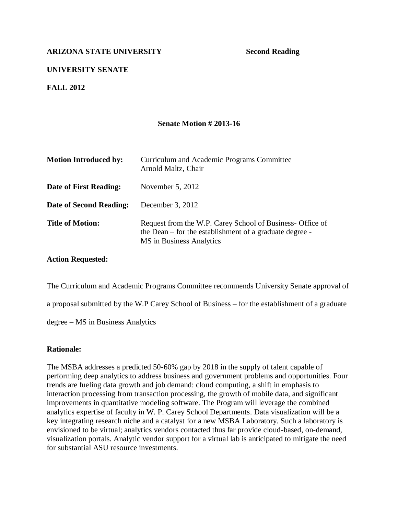# **UNIVERSITY SENATE**

**FALL 2012**

#### **Senate Motion # 2013-16**

| <b>Motion Introduced by:</b> | Curriculum and Academic Programs Committee<br>Arnold Maltz, Chair                                                                                |
|------------------------------|--------------------------------------------------------------------------------------------------------------------------------------------------|
| Date of First Reading:       | November $5, 2012$                                                                                                                               |
| Date of Second Reading:      | December $3, 2012$                                                                                                                               |
| <b>Title of Motion:</b>      | Request from the W.P. Carey School of Business- Office of<br>the Dean – for the establishment of a graduate degree -<br>MS in Business Analytics |

#### **Action Requested:**

The Curriculum and Academic Programs Committee recommends University Senate approval of

a proposal submitted by the W.P Carey School of Business – for the establishment of a graduate

degree – MS in Business Analytics

### **Rationale:**

The MSBA addresses a predicted 50-60% gap by 2018 in the supply of talent capable of performing deep analytics to address business and government problems and opportunities. Four trends are fueling data growth and job demand: cloud computing, a shift in emphasis to interaction processing from transaction processing, the growth of mobile data, and significant improvements in quantitative modeling software. The Program will leverage the combined analytics expertise of faculty in W. P. Carey School Departments. Data visualization will be a key integrating research niche and a catalyst for a new MSBA Laboratory. Such a laboratory is envisioned to be virtual; analytics vendors contacted thus far provide cloud-based, on-demand, visualization portals. Analytic vendor support for a virtual lab is anticipated to mitigate the need for substantial ASU resource investments.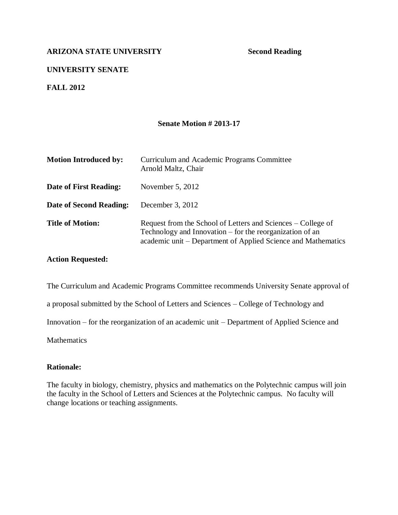# **UNIVERSITY SENATE**

**FALL 2012**

#### **Senate Motion # 2013-17**

| <b>Motion Introduced by:</b> | Curriculum and Academic Programs Committee<br>Arnold Maltz, Chair                                                                                                                         |
|------------------------------|-------------------------------------------------------------------------------------------------------------------------------------------------------------------------------------------|
| Date of First Reading:       | November $5, 2012$                                                                                                                                                                        |
| Date of Second Reading:      | December 3, 2012                                                                                                                                                                          |
| <b>Title of Motion:</b>      | Request from the School of Letters and Sciences – College of<br>Technology and Innovation – for the reorganization of an<br>academic unit - Department of Applied Science and Mathematics |

#### **Action Requested:**

The Curriculum and Academic Programs Committee recommends University Senate approval of a proposal submitted by the School of Letters and Sciences – College of Technology and Innovation – for the reorganization of an academic unit – Department of Applied Science and **Mathematics** 

### **Rationale:**

The faculty in biology, chemistry, physics and mathematics on the Polytechnic campus will join the faculty in the School of Letters and Sciences at the Polytechnic campus. No faculty will change locations or teaching assignments.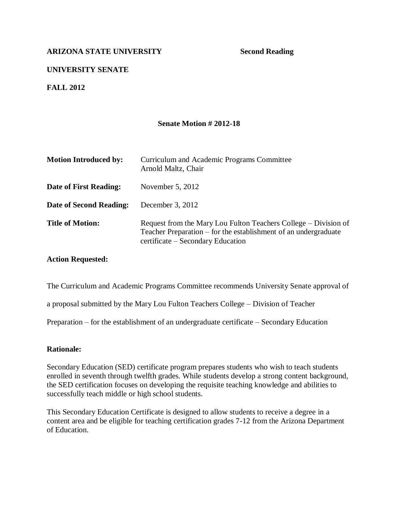# **UNIVERSITY SENATE**

**FALL 2012**

#### **Senate Motion # 2012-18**

| <b>Motion Introduced by:</b> | Curriculum and Academic Programs Committee<br>Arnold Maltz, Chair                                                                                                       |
|------------------------------|-------------------------------------------------------------------------------------------------------------------------------------------------------------------------|
| Date of First Reading:       | November $5, 2012$                                                                                                                                                      |
| Date of Second Reading:      | December 3, 2012                                                                                                                                                        |
| <b>Title of Motion:</b>      | Request from the Mary Lou Fulton Teachers College – Division of<br>Teacher Preparation – for the establishment of an undergraduate<br>certificate – Secondary Education |

#### **Action Requested:**

The Curriculum and Academic Programs Committee recommends University Senate approval of

a proposal submitted by the Mary Lou Fulton Teachers College – Division of Teacher

Preparation – for the establishment of an undergraduate certificate – Secondary Education

### **Rationale:**

Secondary Education (SED) certificate program prepares students who wish to teach students enrolled in seventh through twelfth grades. While students develop a strong content background, the SED certification focuses on developing the requisite teaching knowledge and abilities to successfully teach middle or high school students.

This Secondary Education Certificate is designed to allow students to receive a degree in a content area and be eligible for teaching certification grades 7-12 from the Arizona Department of Education.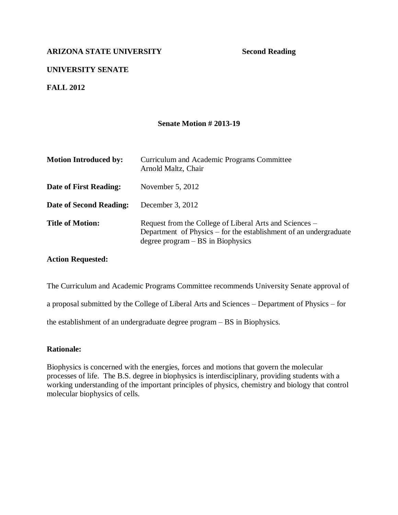# **UNIVERSITY SENATE**

**FALL 2012**

#### **Senate Motion # 2013-19**

| <b>Motion Introduced by:</b>   | Curriculum and Academic Programs Committee<br>Arnold Maltz, Chair                                                                                                   |
|--------------------------------|---------------------------------------------------------------------------------------------------------------------------------------------------------------------|
| Date of First Reading:         | November $5, 2012$                                                                                                                                                  |
| <b>Date of Second Reading:</b> | December $3, 2012$                                                                                                                                                  |
| <b>Title of Motion:</b>        | Request from the College of Liberal Arts and Sciences –<br>Department of Physics – for the establishment of an undergraduate<br>degree $program - BS$ in Biophysics |

#### **Action Requested:**

The Curriculum and Academic Programs Committee recommends University Senate approval of

a proposal submitted by the College of Liberal Arts and Sciences – Department of Physics – for

the establishment of an undergraduate degree program – BS in Biophysics.

### **Rationale:**

Biophysics is concerned with the energies, forces and motions that govern the molecular processes of life. The B.S. degree in biophysics is interdisciplinary, providing students with a working understanding of the important principles of physics, chemistry and biology that control molecular biophysics of cells.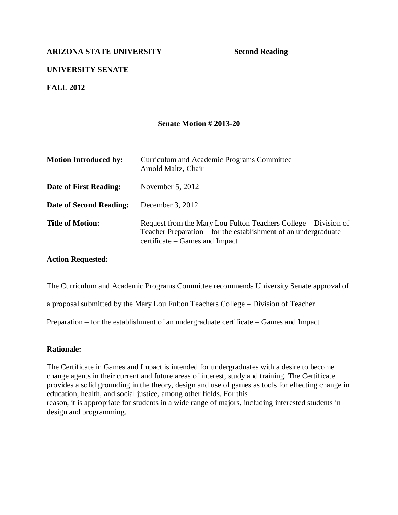# **UNIVERSITY SENATE**

**FALL 2012**

#### **Senate Motion # 2013-20**

| <b>Motion Introduced by:</b> | Curriculum and Academic Programs Committee<br>Arnold Maltz, Chair                                                                                                    |
|------------------------------|----------------------------------------------------------------------------------------------------------------------------------------------------------------------|
| Date of First Reading:       | November $5, 2012$                                                                                                                                                   |
| Date of Second Reading:      | December 3, 2012                                                                                                                                                     |
| <b>Title of Motion:</b>      | Request from the Mary Lou Fulton Teachers College – Division of<br>Teacher Preparation – for the establishment of an undergraduate<br>certificate – Games and Impact |

#### **Action Requested:**

The Curriculum and Academic Programs Committee recommends University Senate approval of

a proposal submitted by the Mary Lou Fulton Teachers College – Division of Teacher

Preparation – for the establishment of an undergraduate certificate – Games and Impact

### **Rationale:**

The Certificate in Games and Impact is intended for undergraduates with a desire to become change agents in their current and future areas of interest, study and training. The Certificate provides a solid grounding in the theory, design and use of games as tools for effecting change in education, health, and social justice, among other fields. For this reason, it is appropriate for students in a wide range of majors, including interested students in design and programming.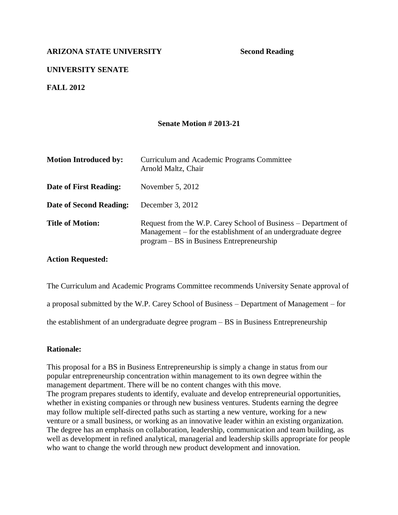# **UNIVERSITY SENATE**

**FALL 2012**

#### **Senate Motion # 2013-21**

| <b>Motion Introduced by:</b> | Curriculum and Academic Programs Committee<br>Arnold Maltz, Chair                                                                                                            |
|------------------------------|------------------------------------------------------------------------------------------------------------------------------------------------------------------------------|
| Date of First Reading:       | November $5, 2012$                                                                                                                                                           |
| Date of Second Reading:      | December 3, 2012                                                                                                                                                             |
| <b>Title of Motion:</b>      | Request from the W.P. Carey School of Business – Department of<br>Management – for the establishment of an undergraduate degree<br>program – BS in Business Entrepreneurship |

#### **Action Requested:**

The Curriculum and Academic Programs Committee recommends University Senate approval of

a proposal submitted by the W.P. Carey School of Business – Department of Management – for

the establishment of an undergraduate degree program – BS in Business Entrepreneurship

### **Rationale:**

This proposal for a BS in Business Entrepreneurship is simply a change in status from our popular entrepreneurship concentration within management to its own degree within the management department. There will be no content changes with this move. The program prepares students to identify, evaluate and develop entrepreneurial opportunities, whether in existing companies or through new business ventures. Students earning the degree may follow multiple self-directed paths such as starting a new venture, working for a new venture or a small business, or working as an innovative leader within an existing organization. The degree has an emphasis on collaboration, leadership, communication and team building, as well as development in refined analytical, managerial and leadership skills appropriate for people who want to change the world through new product development and innovation.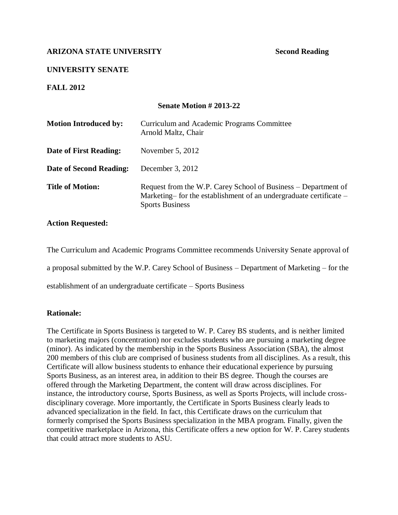# **UNIVERSITY SENATE**

**FALL 2012**

# **Senate Motion # 2013-22**

| <b>Motion Introduced by:</b> | Curriculum and Academic Programs Committee<br>Arnold Maltz, Chair                                                                                              |
|------------------------------|----------------------------------------------------------------------------------------------------------------------------------------------------------------|
| Date of First Reading:       | November $5, 2012$                                                                                                                                             |
| Date of Second Reading:      | December 3, 2012                                                                                                                                               |
| <b>Title of Motion:</b>      | Request from the W.P. Carey School of Business – Department of<br>Marketing– for the establishment of an undergraduate certificate –<br><b>Sports Business</b> |

### **Action Requested:**

The Curriculum and Academic Programs Committee recommends University Senate approval of

a proposal submitted by the W.P. Carey School of Business – Department of Marketing – for the

establishment of an undergraduate certificate – Sports Business

### **Rationale:**

The Certificate in Sports Business is targeted to W. P. Carey BS students, and is neither limited to marketing majors (concentration) nor excludes students who are pursuing a marketing degree (minor). As indicated by the membership in the Sports Business Association (SBA), the almost 200 members of this club are comprised of business students from all disciplines. As a result, this Certificate will allow business students to enhance their educational experience by pursuing Sports Business, as an interest area, in addition to their BS degree. Though the courses are offered through the Marketing Department, the content will draw across disciplines. For instance, the introductory course, Sports Business, as well as Sports Projects, will include crossdisciplinary coverage. More importantly, the Certificate in Sports Business clearly leads to advanced specialization in the field. In fact, this Certificate draws on the curriculum that formerly comprised the Sports Business specialization in the MBA program. Finally, given the competitive marketplace in Arizona, this Certificate offers a new option for W. P. Carey students that could attract more students to ASU.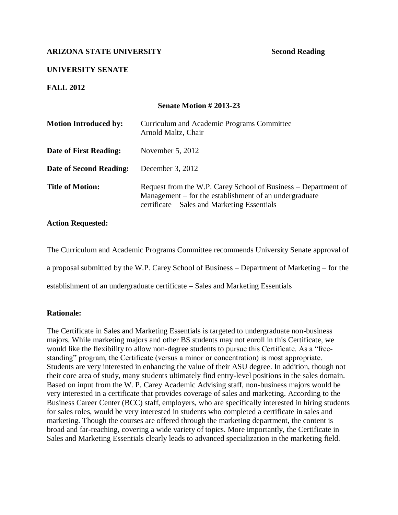# **UNIVERSITY SENATE**

**FALL 2012**

# **Senate Motion # 2013-23**

| <b>Motion Introduced by:</b> | Curriculum and Academic Programs Committee<br>Arnold Maltz, Chair                                                                                                        |
|------------------------------|--------------------------------------------------------------------------------------------------------------------------------------------------------------------------|
| Date of First Reading:       | November $5, 2012$                                                                                                                                                       |
| Date of Second Reading:      | December 3, 2012                                                                                                                                                         |
| <b>Title of Motion:</b>      | Request from the W.P. Carey School of Business – Department of<br>Management – for the establishment of an undergraduate<br>certificate – Sales and Marketing Essentials |

### **Action Requested:**

The Curriculum and Academic Programs Committee recommends University Senate approval of a proposal submitted by the W.P. Carey School of Business – Department of Marketing – for the

establishment of an undergraduate certificate – Sales and Marketing Essentials

### **Rationale:**

The Certificate in Sales and Marketing Essentials is targeted to undergraduate non-business majors. While marketing majors and other BS students may not enroll in this Certificate, we would like the flexibility to allow non-degree students to pursue this Certificate. As a "freestanding" program, the Certificate (versus a minor or concentration) is most appropriate. Students are very interested in enhancing the value of their ASU degree. In addition, though not their core area of study, many students ultimately find entry-level positions in the sales domain. Based on input from the W. P. Carey Academic Advising staff, non-business majors would be very interested in a certificate that provides coverage of sales and marketing. According to the Business Career Center (BCC) staff, employers, who are specifically interested in hiring students for sales roles, would be very interested in students who completed a certificate in sales and marketing. Though the courses are offered through the marketing department, the content is broad and far-reaching, covering a wide variety of topics. More importantly, the Certificate in Sales and Marketing Essentials clearly leads to advanced specialization in the marketing field.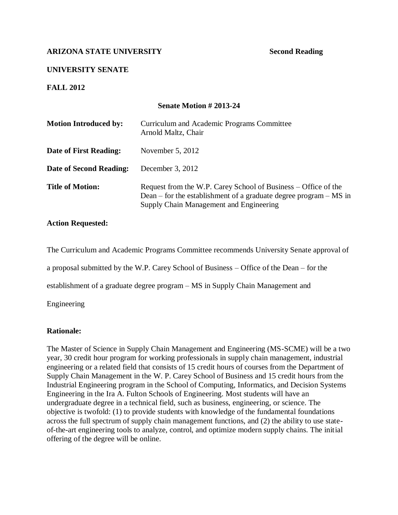# **UNIVERSITY SENATE**

**FALL 2012**

### **Senate Motion # 2013-24**

| <b>Motion Introduced by:</b> | Curriculum and Academic Programs Committee<br>Arnold Maltz, Chair                                                                                                                |
|------------------------------|----------------------------------------------------------------------------------------------------------------------------------------------------------------------------------|
| Date of First Reading:       | November $5, 2012$                                                                                                                                                               |
| Date of Second Reading:      | December 3, $2012$                                                                                                                                                               |
| <b>Title of Motion:</b>      | Request from the W.P. Carey School of Business – Office of the<br>Dean – for the establishment of a graduate degree program – $MS$ in<br>Supply Chain Management and Engineering |

### **Action Requested:**

The Curriculum and Academic Programs Committee recommends University Senate approval of

a proposal submitted by the W.P. Carey School of Business – Office of the Dean – for the

establishment of a graduate degree program – MS in Supply Chain Management and

Engineering

### **Rationale:**

The Master of Science in Supply Chain Management and Engineering (MS-SCME) will be a two year, 30 credit hour program for working professionals in supply chain management, industrial engineering or a related field that consists of 15 credit hours of courses from the Department of Supply Chain Management in the W. P. Carey School of Business and 15 credit hours from the Industrial Engineering program in the School of Computing, Informatics, and Decision Systems Engineering in the Ira A. Fulton Schools of Engineering. Most students will have an undergraduate degree in a technical field, such as business, engineering, or science. The objective is twofold: (1) to provide students with knowledge of the fundamental foundations across the full spectrum of supply chain management functions, and (2) the ability to use stateof-the-art engineering tools to analyze, control, and optimize modern supply chains. The initial offering of the degree will be online.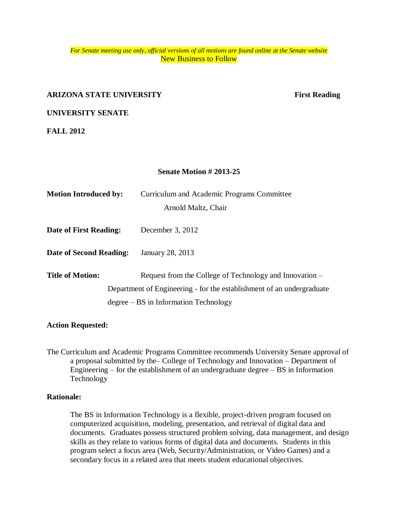*For Senate meeting use only, official versions of all motions are found online at the Senate website* New Business to Follow

#### **ARIZONA STATE UNIVERSITY** First Reading

### **UNIVERSITY SENATE**

**FALL 2012**

#### **Senate Motion # 2013-25**

| <b>Motion Introduced by:</b> | Curriculum and Academic Programs Committee<br>Arnold Maltz, Chair     |
|------------------------------|-----------------------------------------------------------------------|
| Date of First Reading:       | December 3, $2012$                                                    |
| Date of Second Reading:      | January 28, 2013                                                      |
| <b>Title of Motion:</b>      | Request from the College of Technology and Innovation –               |
|                              | Department of Engineering - for the establishment of an undergraduate |
|                              | $degree - BS$ in Information Technology                               |

#### **Action Requested:**

The Curriculum and Academic Programs Committee recommends University Senate approval of a proposal submitted by the– College of Technology and Innovation – Department of Engineering – for the establishment of an undergraduate degree  $- BS$  in Information Technology

#### **Rationale:**

The BS in Information Technology is a flexible, project-driven program focused on computerized acquisition, modeling, presentation, and retrieval of digital data and documents. Graduates possess structured problem solving, data management, and design skills as they relate to various forms of digital data and documents. Students in this program select a focus area (Web, Security/Administration, or Video Games) and a secondary focus in a related area that meets student educational objectives.